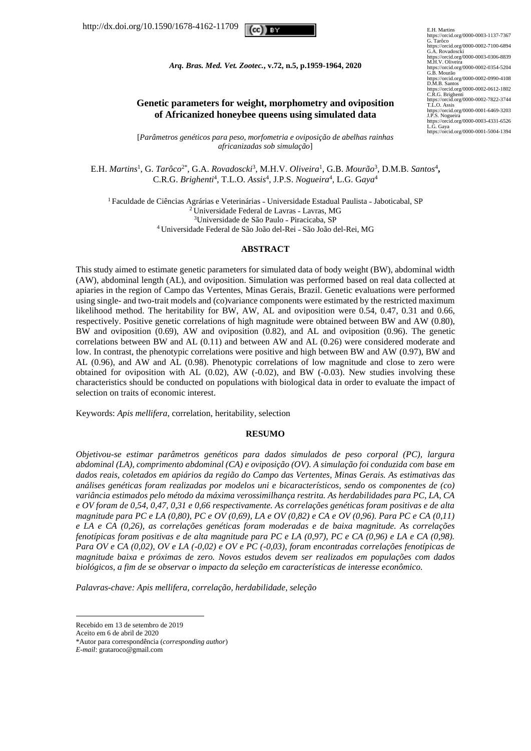*Arq. Bras. Med. Vet. Zootec.***, v.72, n.5, p.1959-1964, 2020**

# **Genetic parameters for weight, morphometry and oviposition of Africanized honeybee queens using simulated data**

[*Parâmetros genéticos para peso, morfometria e oviposição de abelhas rainhas africanizadas sob simulação*]

E.H. *Martins<sup>1</sup>*, G. *Tarôco<sup>2\*</sup>*, G.A. *Rovadoscki*<sup>3</sup>, M.H.V. *Oliveira*<sup>1</sup>, G.B. *Mourão*<sup>3</sup>, D.M.B. *Santos*<sup>4</sup>, C.R.G. *Brighenti*<sup>4</sup>, T.L.O. *Assis*<sup>4</sup>, J.P.S. *Nogueira*<sup>4</sup>, L.G. Gaya<sup>4</sup>

<sup>1</sup> Faculdade de Ciências Agrárias e Veterinárias - Universidade Estadual Paulista - Jaboticabal, SP <sup>2</sup> Universidade Federal de Lavras - Lavras, MG <sup>3</sup>Universidade de São Paulo - Piracicaba, SP <sup>4</sup> Universidade Federal de São João del-Rei - São João del-Rei, MG

#### **ABSTRACT**

This study aimed to estimate genetic parameters for simulated data of body weight (BW), abdominal width (AW), abdominal length (AL), and oviposition. Simulation was performed based on real data collected at apiaries in the region of Campo das Vertentes, Minas Gerais, Brazil. Genetic evaluations were performed using single- and two-trait models and (co)variance components were estimated by the restricted maximum likelihood method. The heritability for BW, AW, AL and oviposition were 0.54, 0.47, 0.31 and 0.66, respectively. Positive genetic correlations of high magnitude were obtained between BW and AW (0.80), BW and oviposition (0.69), AW and oviposition (0.82), and AL and oviposition (0.96). The genetic correlations between BW and AL (0.11) and between AW and AL (0.26) were considered moderate and low. In contrast, the phenotypic correlations were positive and high between BW and AW (0.97), BW and AL (0.96), and AW and AL (0.98). Phenotypic correlations of low magnitude and close to zero were obtained for oviposition with AL  $(0.02)$ , AW  $(-0.02)$ , and BW  $(-0.03)$ . New studies involving these characteristics should be conducted on populations with biological data in order to evaluate the impact of selection on traits of economic interest.

Keywords: *Apis mellifera*, correlation, heritability, selection

### **RESUMO**

*Objetivou-se estimar parâmetros genéticos para dados simulados de peso corporal (PC), largura abdominal (LA), comprimento abdominal (CA) e oviposição (OV). A simulação foi conduzida com base em dados reais, coletados em apiários da região do Campo das Vertentes, Minas Gerais. As estimativas das análises genéticas foram realizadas por modelos uni e bicaracterísticos, sendo os componentes de (co) variância estimados pelo método da máxima verossimilhança restrita. As herdabilidades para PC, LA, CA e OV foram de 0,54, 0,47, 0,31 e 0,66 respectivamente. As correlações genéticas foram positivas e de alta magnitude para PC e LA (0,80), PC e OV (0,69), LA e OV (0,82) e CA e OV (0,96). Para PC e CA (0,11) e LA e CA (0,26), as correlações genéticas foram moderadas e de baixa magnitude. As correlações fenotípicas foram positivas e de alta magnitude para PC e LA (0,97), PC e CA (0,96) e LA e CA (0,98). Para OV e CA (0,02), OV e LA (-0,02) e OV e PC (-0,03), foram encontradas correlações fenotípicas de magnitude baixa e próximas de zero. Novos estudos devem ser realizados em populações com dados biológicos, a fim de se observar o impacto da seleção em características de interesse econômico.*

*Palavras-chave: Apis mellifera, correlação, herdabilidade, seleção*

https://orcid.org/0000-0003-1137-7367<br>
G. Tarôco<br>
https://orcid.org/0000-0002-7100-6894<br>
O.A. Rovadoscki<br>
https://orcid.org/0000-0003-0306-8839<br>
M.H.V. Oliveira<br>
https://orcid.org/0000-0002-0354-5204<br>
G.B. Mourão https://orcid.org/0000-0002-0990-4108 https://orcid.org/0000-0002-0990-4100<br>D.M.B. Santos<br>https://orcid.org/0000-0002-0612-1802 https://orcid.org/0000-0002-0612-1802<br>C.R.G. Brighenti<br>Https://orcid.org/0000-0002-7822-3744<br>T.L.O. Assis<br>https://orcid.org/0000-0001-6469-3203<br>J.P.S. Nogueira<br>https://orcid.org/0000-0003-4331-6526<br>L.G. Gaya https://orcid.org/0000-0003-4331-6526<br>L.G. Gaya<br>https://orcid.org/0000-0001-5004-1394

Recebido em 13 de setembro de 2019

Aceito em 6 de abril de 2020

<sup>\*</sup>Autor para correspondência (*corresponding author*)

*E-mail*: grataroco@gmail.com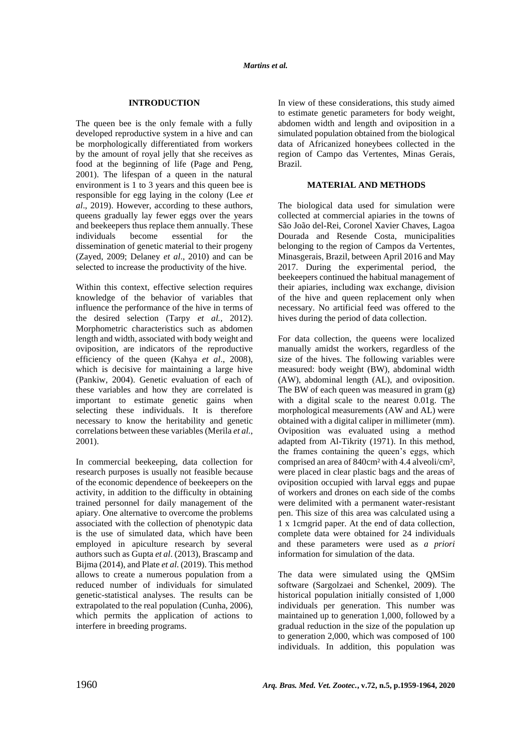## **INTRODUCTION**

The queen bee is the only female with a fully developed reproductive system in a hive and can be morphologically differentiated from workers by the amount of royal jelly that she receives as food at the beginning of life (Page and Peng, 2001). The lifespan of a queen in the natural environment is 1 to 3 years and this queen bee is responsible for egg laying in the colony (Lee *et al*., 2019). However, according to these authors, queens gradually lay fewer eggs over the years and beekeepers thus replace them annually. These individuals become essential for the dissemination of genetic material to their progeny (Zayed, 2009; Delaney *et al*., 2010) and can be selected to increase the productivity of the hive.

Within this context, effective selection requires knowledge of the behavior of variables that influence the performance of the hive in terms of the desired selection (Tarpy *et al.,* 2012). Morphometric characteristics such as abdomen length and width, associated with body weight and oviposition, are indicators of the reproductive efficiency of the queen (Kahya *et al*., 2008), which is decisive for maintaining a large hive (Pankiw, 2004). Genetic evaluation of each of these variables and how they are correlated is important to estimate genetic gains when selecting these individuals. It is therefore necessary to know the heritability and genetic correlations between these variables (Merila *et al.*, 2001).

In commercial beekeeping, data collection for research purposes is usually not feasible because of the economic dependence of beekeepers on the activity, in addition to the difficulty in obtaining trained personnel for daily management of the apiary. One alternative to overcome the problems associated with the collection of phenotypic data is the use of simulated data, which have been employed in apiculture research by several authors such as Gupta *et al*. (2013), Brascamp and Bijma (2014), and Plate *et al*. (2019). This method allows to create a numerous population from a reduced number of individuals for simulated genetic-statistical analyses. The results can be extrapolated to the real population (Cunha, 2006), which permits the application of actions to interfere in breeding programs.

In view of these considerations, this study aimed to estimate genetic parameters for body weight, abdomen width and length and oviposition in a simulated population obtained from the biological data of Africanized honeybees collected in the region of Campo das Vertentes, Minas Gerais, Brazil.

### **MATERIAL AND METHODS**

The biological data used for simulation were collected at commercial apiaries in the towns of São João del-Rei, Coronel Xavier Chaves, Lagoa Dourada and Resende Costa, municipalities belonging to the region of Campos da Vertentes, Minasgerais, Brazil, between April 2016 and May 2017. During the experimental period, the beekeepers continued the habitual management of their apiaries, including wax exchange, division of the hive and queen replacement only when necessary. No artificial feed was offered to the hives during the period of data collection.

For data collection, the queens were localized manually amidst the workers, regardless of the size of the hives. The following variables were measured: body weight (BW), abdominal width (AW), abdominal length (AL), and oviposition. The BW of each queen was measured in gram (g) with a digital scale to the nearest 0.01g. The morphological measurements (AW and AL) were obtained with a digital caliper in millimeter (mm). Oviposition was evaluated using a method adapted from Al-Tikrity (1971). In this method, the frames containing the queen's eggs, which comprised an area of 840cm² with 4.4 alveoli/cm², were placed in clear plastic bags and the areas of oviposition occupied with larval eggs and pupae of workers and drones on each side of the combs were delimited with a permanent water-resistant pen. This size of this area was calculated using a 1 x 1cmgrid paper. At the end of data collection, complete data were obtained for 24 individuals and these parameters were used as *a priori* information for simulation of the data.

The data were simulated using the QMSim software (Sargolzaei and Schenkel, 2009). The historical population initially consisted of 1,000 individuals per generation. This number was maintained up to generation 1,000, followed by a gradual reduction in the size of the population up to generation 2,000, which was composed of 100 individuals. In addition, this population was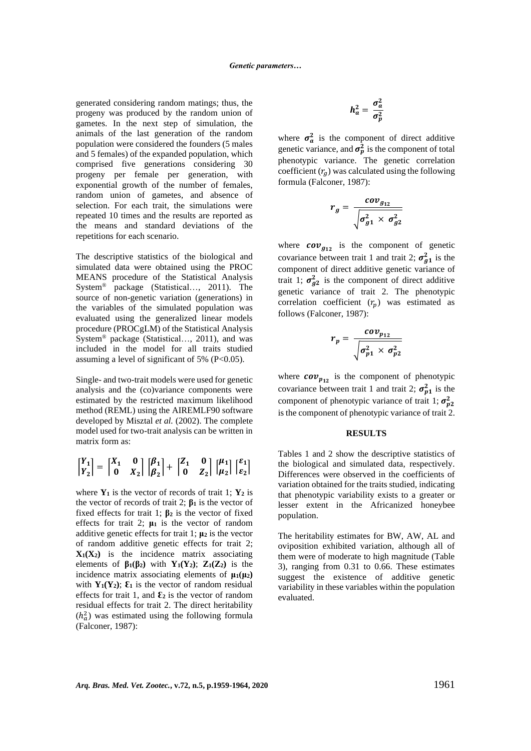generated considering random matings; thus, the progeny was produced by the random union of gametes. In the next step of simulation, the animals of the last generation of the random population were considered the founders (5 males and 5 females) of the expanded population, which comprised five generations considering 30 progeny per female per generation, with exponential growth of the number of females, random union of gametes, and absence of selection. For each trait, the simulations were repeated 10 times and the results are reported as the means and standard deviations of the repetitions for each scenario.

The descriptive statistics of the biological and simulated data were obtained using the PROC MEANS procedure of the Statistical Analysis System® package (Statistical…, 2011). The source of non-genetic variation (generations) in the variables of the simulated population was evaluated using the generalized linear models procedure (PROCgLM) of the Statistical Analysis System® package (Statistical…, 2011), and was included in the model for all traits studied assuming a level of significant of 5% (P<0.05).

Single- and two-trait models were used for genetic analysis and the (co)variance components were estimated by the restricted maximum likelihood method (REML) using the AIREMLF90 software developed by Misztal *et al.* (2002). The complete model used for two-trait analysis can be written in matrix form as:

$$
\begin{bmatrix} Y_1 \\ Y_2 \end{bmatrix} = \begin{bmatrix} X_1 & 0 \\ 0 & X_2 \end{bmatrix} \begin{bmatrix} \beta_1 \\ \beta_2 \end{bmatrix} + \begin{bmatrix} Z_1 & 0 \\ 0 & Z_2 \end{bmatrix} \begin{bmatrix} \mu_1 \\ \mu_2 \end{bmatrix} \begin{bmatrix} \varepsilon_1 \\ \varepsilon_2 \end{bmatrix}
$$

where  $\mathbf{Y}_1$  is the vector of records of trait 1;  $\mathbf{Y}_2$  is the vector of records of trait 2; **β<sup>1</sup>** is the vector of fixed effects for trait 1; **β<sup>2</sup>** is the vector of fixed effects for trait 2;  $\mu_1$  is the vector of random additive genetic effects for trait 1; **μ<sup>2</sup>** is the vector of random additive genetic effects for trait 2;  $X_1(X_2)$  is the incidence matrix associating elements of  $\beta_1(\beta_2)$  with  $Y_1(Y_2)$ ;  $Z_1(Z_2)$  is the incidence matrix associating elements of  $\mu_1(\mu_2)$ with  $Y_1(Y_2)$ ;  $\mathcal{E}_1$  is the vector of random residual effects for trait 1, and  $\mathcal{E}_2$  is the vector of random residual effects for trait 2. The direct heritability  $(h_a^2)$  was estimated using the following formula (Falconer, 1987):

$$
h_a^2=\frac{\sigma_a^2}{\sigma_p^2}
$$

where  $\sigma_a^2$  is the component of direct additive genetic variance, and  $\sigma_p^2$  is the component of total phenotypic variance. The genetic correlation coefficient  $(r_a)$  was calculated using the following formula (Falconer, 1987):

$$
r_g = \frac{cov_{g_{12}}}{\sqrt{\sigma_{g1}^2 \times \sigma_{g2}^2}}
$$

where  $\text{cov}_{g_{12}}$  is the component of genetic covariance between trait 1 and trait 2;  $\sigma_{g1}^2$  is the component of direct additive genetic variance of trait 1;  $\sigma_{g2}^2$  is the component of direct additive genetic variance of trait 2. The phenotypic correlation coefficient  $(r_n)$  was estimated as follows (Falconer, 1987):

$$
r_p = \frac{cov_{p_{12}}}{\sqrt{\sigma_{p1}^2 \times \sigma_{p2}^2}}
$$

where  $cov_{p_{12}}$  is the component of phenotypic covariance between trait 1 and trait 2;  $\sigma_{p1}^2$  is the component of phenotypic variance of trait 1;  $\sigma_{p2}^2$ is the component of phenotypic variance of trait 2.

## **RESULTS**

Tables 1 and 2 show the descriptive statistics of the biological and simulated data, respectively. Differences were observed in the coefficients of variation obtained for the traits studied, indicating that phenotypic variability exists to a greater or lesser extent in the Africanized honeybee population.

The heritability estimates for BW, AW, AL and oviposition exhibited variation, although all of them were of moderate to high magnitude (Table 3), ranging from 0.31 to 0.66. These estimates suggest the existence of additive genetic variability in these variables within the population evaluated.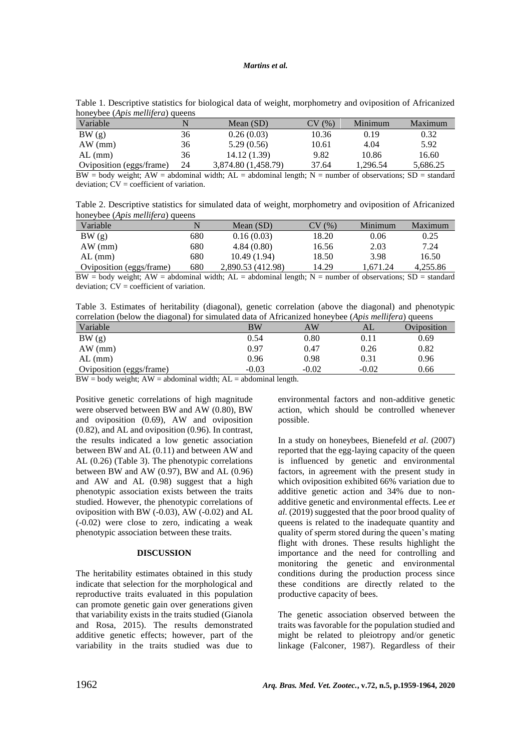#### *Martins et al.*

| nonevoee (Apis mempera) queens |    |                     |            |          |          |  |  |  |
|--------------------------------|----|---------------------|------------|----------|----------|--|--|--|
| Variable                       |    | Mean $(SD)$         | (% )<br>CV | Minimum  | Maximum  |  |  |  |
| BW(g)                          | 36 | 0.26(0.03)          | 10.36      | 0.19     | 0.32     |  |  |  |
| AW (mm)                        | 36 | 5.29(0.56)          | 10.61      | 4.04     | 5.92     |  |  |  |
| $AL$ (mm)                      | 36 | 14.12 (1.39)        | 9.82       | 10.86    | 16.60    |  |  |  |
| Oviposition (eggs/frame)       | 24 | 3,874.80 (1,458.79) | 37.64      | 1.296.54 | 5,686.25 |  |  |  |

Table 1. Descriptive statistics for biological data of weight, morphometry and oviposition of Africanized honeybee (*Apis mellifera*) queens

 $BW = body weight$ ;  $AW = abdominal width$ ;  $AL = abdominal length$ ;  $N = number of observations$ ;  $SD = standard$ deviation;  $CV = coefficient of variation$ .

Table 2. Descriptive statistics for simulated data of weight, morphometry and oviposition of Africanized honeybee (*Apis mellifera*) queens

| Variable                 |     | Mean $(SD)$       | (9/6)<br>Cν | Minimum  | Maximum  |
|--------------------------|-----|-------------------|-------------|----------|----------|
| BW(g)                    | 680 | 0.16(0.03)        | 18.20       | 0.06     | 0.25     |
| $AW$ (mm)                | 680 | 4.84(0.80)        | 16.56       | 2.03     | 7.24     |
| $AL$ (mm)                | 680 | 10.49 (1.94)      | 18.50       | 3.98     | 16.50    |
| Oviposition (eggs/frame) | 680 | 2,890.53 (412.98) | 14.29       | 1.671.24 | 4.255.86 |

 $BW = body weight$ ;  $AW = abdominal width$ ;  $AL = abdominal length$ ;  $N = number of observations$ ;  $SD = standard$ deviation;  $CV = coefficient of variation$ .

Table 3. Estimates of heritability (diagonal), genetic correlation (above the diagonal) and phenotypic correlation (below the diagonal) for simulated data of Africanized honeybee (*Apis mellifera*) queens

| Variable                 | <b>BW</b> | <b>AW</b> | AL      | Oviposition |
|--------------------------|-----------|-----------|---------|-------------|
| BW(g)                    | 0.54      | 0.80      | 0.11    | 0.69        |
| AW (mm)                  | 0.97      | 0.47      | 0.26    | 0.82        |
| $AL$ (mm)                | 0.96      | 0.98      | 0.31    | 0.96        |
| Oviposition (eggs/frame) | $-0.03$   | $-0.02$   | $-0.02$ | 0.66        |
|                          |           |           |         |             |

 $BW = body weight$ ;  $AW = abdominal width$ ;  $AL = abdominal length$ .

Positive genetic correlations of high magnitude were observed between BW and AW (0.80), BW and oviposition (0.69), AW and oviposition (0.82), and AL and oviposition (0.96). In contrast, the results indicated a low genetic association between BW and AL (0.11) and between AW and AL (0.26) (Table 3). The phenotypic correlations between BW and AW (0.97), BW and AL (0.96) and AW and AL (0.98) suggest that a high phenotypic association exists between the traits studied. However, the phenotypic correlations of oviposition with BW  $(-0.03)$ , AW  $(-0.02)$  and AL (-0.02) were close to zero, indicating a weak phenotypic association between these traits.

### **DISCUSSION**

The heritability estimates obtained in this study indicate that selection for the morphological and reproductive traits evaluated in this population can promote genetic gain over generations given that variability exists in the traits studied (Gianola and Rosa, 2015). The results demonstrated additive genetic effects; however, part of the variability in the traits studied was due to environmental factors and non-additive genetic action, which should be controlled whenever possible.

In a study on honeybees, Bienefeld *et al*. (2007) reported that the egg-laying capacity of the queen is influenced by genetic and environmental factors, in agreement with the present study in which oviposition exhibited 66% variation due to additive genetic action and 34% due to nonadditive genetic and environmental effects. Lee *et al*. (2019) suggested that the poor brood quality of queens is related to the inadequate quantity and quality of sperm stored during the queen's mating flight with drones. These results highlight the importance and the need for controlling and monitoring the genetic and environmental conditions during the production process since these conditions are directly related to the productive capacity of bees.

The genetic association observed between the traits was favorable for the population studied and might be related to pleiotropy and/or genetic linkage (Falconer, 1987). Regardless of their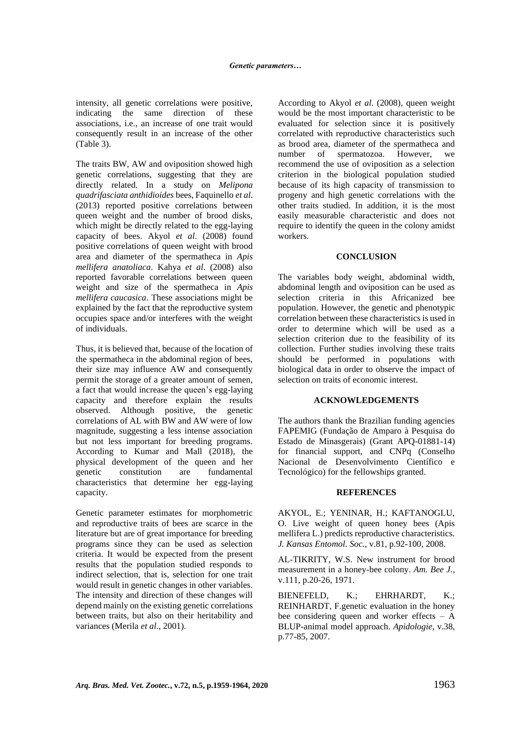intensity, all genetic correlations were positive, indicating the same direction of these associations, i.e., an increase of one trait would consequently result in an increase of the other (Table 3).

The traits BW, AW and oviposition showed high genetic correlations, suggesting that they are directly related. In a study on *Melipona quadrifasciata anthidioides* bees, Faquinello *et al*. (2013) reported positive correlations between queen weight and the number of brood disks, which might be directly related to the egg-laying capacity of bees. Akyol *et al*. (2008) found positive correlations of queen weight with brood area and diameter of the spermatheca in *Apis mellifera anatoliaca*. Kahya *et al*. (2008) also reported favorable correlations between queen weight and size of the spermatheca in *Apis mellifera caucasica*. These associations might be explained by the fact that the reproductive system occupies space and/or interferes with the weight of individuals.

Thus, it is believed that, because of the location of the spermatheca in the abdominal region of bees, their size may influence AW and consequently permit the storage of a greater amount of semen, a fact that would increase the queen's egg-laying capacity and therefore explain the results observed. Although positive, the genetic correlations of AL with BW and AW were of low magnitude, suggesting a less intense association but not less important for breeding programs. According to Kumar and Mall (2018), the physical development of the queen and her genetic constitution are fundamental characteristics that determine her egg-laying capacity.

Genetic parameter estimates for morphometric and reproductive traits of bees are scarce in the literature but are of great importance for breeding programs since they can be used as selection criteria. It would be expected from the present results that the population studied responds to indirect selection, that is, selection for one trait would result in genetic changes in other variables. The intensity and direction of these changes will depend mainly on the existing genetic correlations between traits, but also on their heritability and variances (Merila *et al*., 2001).

According to Akyol *et al*. (2008), queen weight would be the most important characteristic to be evaluated for selection since it is positively correlated with reproductive characteristics such as brood area, diameter of the spermatheca and number of spermatozoa. However, we recommend the use of oviposition as a selection criterion in the biological population studied because of its high capacity of transmission to progeny and high genetic correlations with the other traits studied. In addition, it is the most easily measurable characteristic and does not require to identify the queen in the colony amidst workers.

### **CONCLUSION**

The variables body weight, abdominal width, abdominal length and oviposition can be used as selection criteria in this Africanized bee population. However, the genetic and phenotypic correlation between these characteristics is used in order to determine which will be used as a selection criterion due to the feasibility of its collection. Further studies involving these traits should be performed in populations with biological data in order to observe the impact of selection on traits of economic interest.

#### **ACKNOWLEDGEMENTS**

The authors thank the Brazilian funding agencies FAPEMIG (Fundação de Amparo à Pesquisa do Estado de Minasgerais) (Grant APQ-01881-14) for financial support, and CNPq (Conselho Nacional de Desenvolvimento Científico e Tecnológico) for the fellowships granted.

### **REFERENCES**

AKYOL, E.; YENINAR, H.; KAFTANOGLU, O. Live weight of queen honey bees (Apis mellifera L.) predicts reproductive characteristics. *J. Kansas Entomol. Soc.,* v.81, p.92-100, 2008.

AL-TIKRITY, W.S. New instrument for brood measurement in a honey-bee colony. *Am. Bee J.*, v.111, p.20-26, 1971.

BIENEFELD, K.; EHRHARDT, K.; REINHARDT, F.genetic evaluation in the honey bee considering queen and worker effects  $-$  A BLUP-animal model approach. *Apidologie*, v.38, p.77-85, 2007.